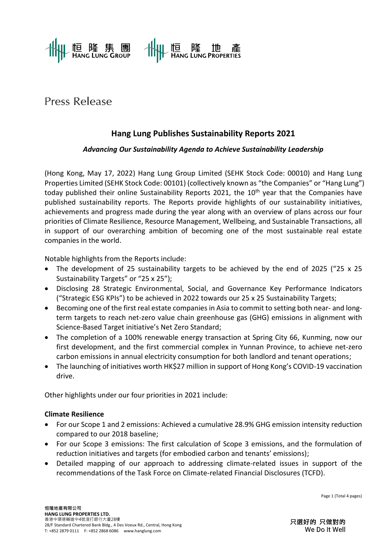

# Press Release

# **Hang Lung Publishes Sustainability Reports 2021**

# *Advancing Our Sustainability Agenda to Achieve Sustainability Leadership*

(Hong Kong, May 17, 2022) Hang Lung Group Limited (SEHK Stock Code: 00010) and Hang Lung Properties Limited (SEHK Stock Code: 00101) (collectively known as "the Companies" or "Hang Lung") today published their online Sustainability Reports 2021, the 10<sup>th</sup> year that the Companies have published sustainability reports. The Reports provide highlights of our sustainability initiatives, achievements and progress made during the year along with an overview of plans across our four priorities of Climate Resilience, Resource Management, Wellbeing, and Sustainable Transactions, all in support of our overarching ambition of becoming one of the most sustainable real estate companies in the world.

Notable highlights from the Reports include:

- The development of 25 sustainability targets to be achieved by the end of 2025 ("25 x 25 Sustainability Targets" or "25 x 25");
- Disclosing 28 Strategic Environmental, Social, and Governance Key Performance Indicators ("Strategic ESG KPIs") to be achieved in 2022 towards our 25 x 25 Sustainability Targets;
- Becoming one of the first real estate companies in Asia to commit to setting both near- and longterm targets to reach net-zero value chain greenhouse gas (GHG) emissions in alignment with Science-Based Target initiative's Net Zero Standard;
- The completion of a 100% renewable energy transaction at Spring City 66, Kunming, now our first development, and the first commercial complex in Yunnan Province, to achieve net-zero carbon emissions in annual electricity consumption for both landlord and tenant operations;
- The launching of initiatives worth HK\$27 million in support of Hong Kong's COVID-19 vaccination drive.

Other highlights under our four priorities in 2021 include:

## **Climate Resilience**

- For our Scope 1 and 2 emissions: Achieved a cumulative 28.9% GHG emission intensity reduction compared to our 2018 baseline;
- For our Scope 3 emissions: The first calculation of Scope 3 emissions, and the formulation of reduction initiatives and targets (for embodied carbon and tenants' emissions);
- Detailed mapping of our approach to addressing climate-related issues in support of the recommendations of the Task Force on Climate-related Financial Disclosures (TCFD).

Page 1 (Total 4 pages)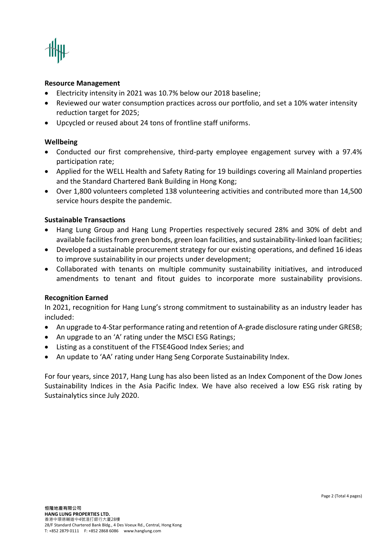

#### **Resource Management**

- Electricity intensity in 2021 was 10.7% below our 2018 baseline;
- Reviewed our water consumption practices across our portfolio, and set a 10% water intensity reduction target for 2025;
- Upcycled or reused about 24 tons of frontline staff uniforms.

#### **Wellbeing**

- Conducted our first comprehensive, third-party employee engagement survey with a 97.4% participation rate;
- Applied for the WELL Health and Safety Rating for 19 buildings covering all Mainland properties and the Standard Chartered Bank Building in Hong Kong;
- Over 1,800 volunteers completed 138 volunteering activities and contributed more than 14,500 service hours despite the pandemic.

#### **Sustainable Transactions**

- Hang Lung Group and Hang Lung Properties respectively secured 28% and 30% of debt and available facilities from green bonds, green loan facilities, and sustainability-linked loan facilities;
- Developed a sustainable procurement strategy for our existing operations, and defined 16 ideas to improve sustainability in our projects under development;
- Collaborated with tenants on multiple community sustainability initiatives, and introduced amendments to tenant and fitout guides to incorporate more sustainability provisions.

#### **Recognition Earned**

In 2021, recognition for Hang Lung's strong commitment to sustainability as an industry leader has included:

- An upgrade to 4-Star performance rating and retention of A-grade disclosure rating under GRESB;
- An upgrade to an 'A' rating under the MSCI ESG Ratings;
- Listing as a constituent of the FTSE4Good Index Series; and
- An update to 'AA' rating under Hang Seng Corporate Sustainability Index.

For four years, since 2017, Hang Lung has also been listed as an Index Component of the Dow Jones Sustainability Indices in the Asia Pacific Index. We have also received a low ESG risk rating by Sustainalytics since July 2020.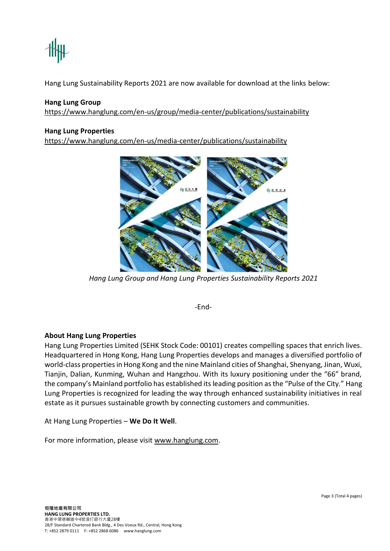Hang Lung Sustainability Reports 2021 are now available for download at the links below:

### **Hang Lung Group**

<https://www.hanglung.com/en-us/group/media-center/publications/sustainability>

#### **Hang Lung Properties**

<https://www.hanglung.com/en-us/media-center/publications/sustainability>



*Hang Lung Group and Hang Lung Properties Sustainability Reports 2021*

-End-

#### **About Hang Lung Properties**

Hang Lung Properties Limited (SEHK Stock Code: 00101) creates compelling spaces that enrich lives. Headquartered in Hong Kong, Hang Lung Properties develops and manages a diversified portfolio of world-class properties in Hong Kong and the nine Mainland cities of Shanghai, Shenyang, Jinan, Wuxi, Tianjin, Dalian, Kunming, Wuhan and Hangzhou. With its luxury positioning under the "66" brand, the company's Mainland portfolio has established its leading position as the "Pulse of the City." Hang Lung Properties is recognized for leading the way through enhanced sustainability initiatives in real estate as it pursues sustainable growth by connecting customers and communities.

At Hang Lung Properties – **We Do It Well**.

For more information, please visit [www.hanglung.com.](http://www.hanglung.com/)